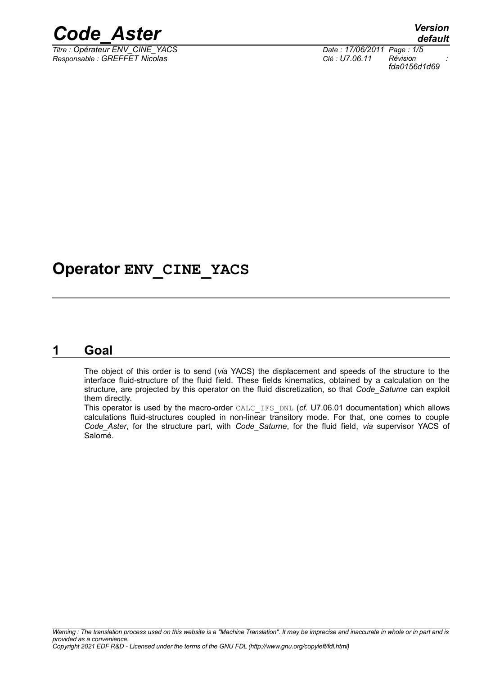

 $T$ *itre : Opérateur ENV\_CINE\_YACS*</u> *Responsable : GREFFET Nicolas Clé : U7.06.11 Révision :*

*default fda0156d1d69*

### **Operator ENV\_CINE\_YACS**

#### **1 Goal**

The object of this order is to send (*via* YACS) the displacement and speeds of the structure to the interface fluid-structure of the fluid field. These fields kinematics, obtained by a calculation on the structure, are projected by this operator on the fluid discretization, so that *Code\_Saturne* can exploit them directly.

This operator is used by the macro-order CALC\_IFS\_DNL (*cf.* U7.06.01 documentation) which allows calculations fluid-structures coupled in non-linear transitory mode. For that, one comes to couple *Code\_Aster*, for the structure part, with *Code\_Saturne*, for the fluid field, *via* supervisor YACS of Salomé.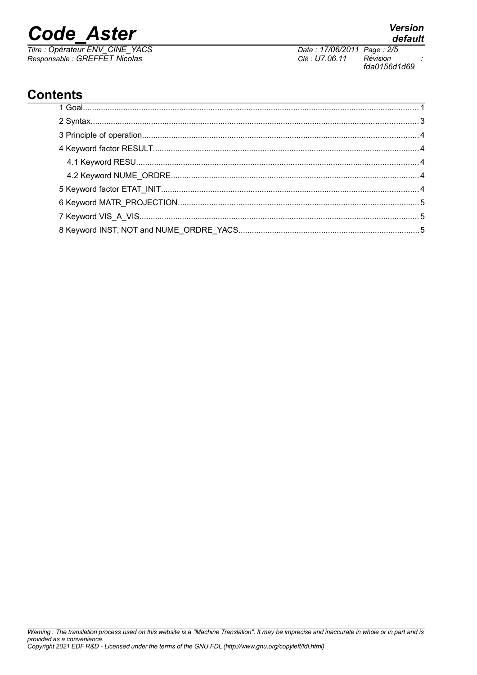# **Code Aster**

Titre : Opérateur ENV\_CINE\_YACS<br>Responsable : GREFFET Nicolas

fda0156d1d69

Révision

Date: 17/06/2011 Page: 2/5

Clé : U7.06.11

### **Contents**

#### **Version** default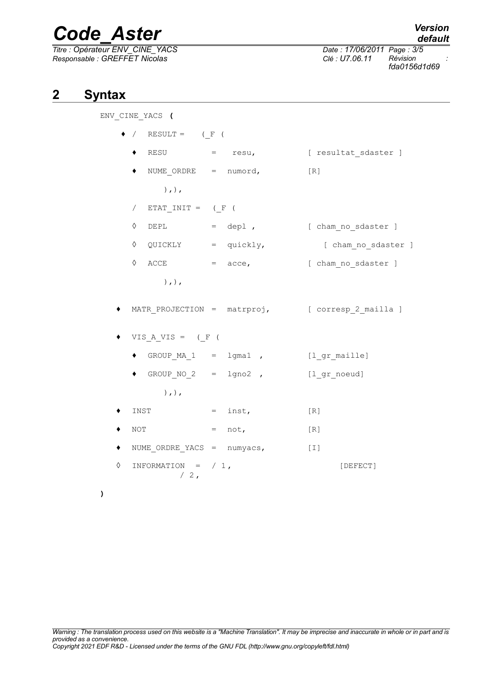# *Code\_Aster Version*

*Titre : Opérateur ENV\_CINE\_YACS Date : 17/06/2011 Page : 3/5 Responsable : GREFFET Nicolas Clé : U7.06.11 Révision :*

*default*

*fda0156d1d69*

#### **2 Syntax**

ENV\_CINE\_YACS **(**

|   |                                 | $RESULT =$ $($ $F$ $($          |  |           |                                                  |  |  |
|---|---------------------------------|---------------------------------|--|-----------|--------------------------------------------------|--|--|
|   |                                 |                                 |  |           | RESU = resu, [ resultat_sdaster ]                |  |  |
|   |                                 | NUME ORDRE = $numord,$          |  |           | [R]                                              |  |  |
|   | $),$ , $)$ ,                    |                                 |  |           |                                                  |  |  |
|   | $ETAT_INT = (F ($<br>$\sqrt{2}$ |                                 |  |           |                                                  |  |  |
|   | ♦                               |                                 |  |           | DEPL = depl , [ cham_no_sdaster ]                |  |  |
|   | ♦                               | $QUICKLY = quickly,$            |  |           | [ cham no sdaster ]                              |  |  |
|   | ♦                               | $\text{ACCE}$ = $\text{acce}$ , |  |           | [ cham no sdaster ]                              |  |  |
|   |                                 | $),$ , $)$ ,                    |  |           |                                                  |  |  |
|   |                                 |                                 |  |           | MATR_PROJECTION = matrproj, [ corresp_2_mailla ] |  |  |
|   | VIS A VIS = $($ F $($           |                                 |  |           |                                                  |  |  |
|   |                                 | $\bullet$ GROUP MA 1 = lgma1,   |  |           | [l gr maille]                                    |  |  |
|   |                                 | $\bullet$ GROUP_NO_2 = lgno2,   |  |           | [1 gr noeud]                                     |  |  |
|   |                                 | $),$ , $)$ ,                    |  |           |                                                  |  |  |
|   | INST                            |                                 |  | $=$ inst, | [R]                                              |  |  |
|   | NOT                             |                                 |  | $=$ not,  | $[R]$                                            |  |  |
|   | NUME $ORDRE_YACS = numyacs$ ,   |                                 |  |           | $[1]$                                            |  |  |
| ♦ | INFORMATION = $/ 1$ ,<br>$/2$ , |                                 |  |           | [DEFECT]                                         |  |  |

**)**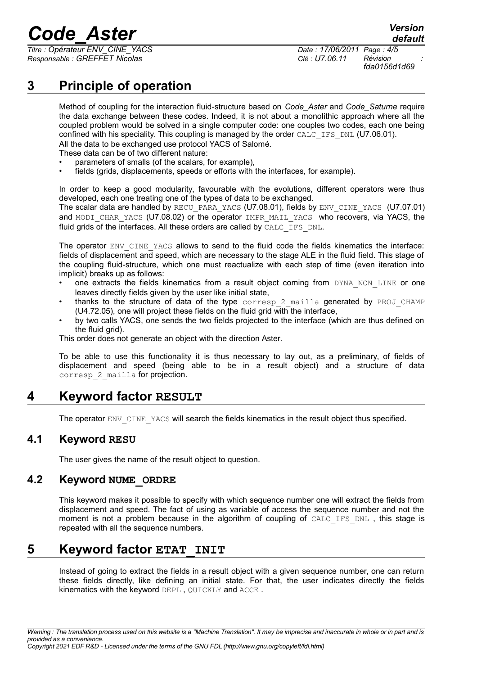# *Code\_Aster Version*

*Titre : Opérateur ENV\_CINE\_YACS Date : 17/06/2011 Page : 4/5 Responsable : GREFFET Nicolas Clé : U7.06.11 Révision :*

*fda0156d1d69*

*default*

### **3 Principle of operation**

Method of coupling for the interaction fluid-structure based on *Code\_Aster* and *Code\_Saturne* require the data exchange between these codes. Indeed, it is not about a monolithic approach where all the coupled problem would be solved in a single computer code: one couples two codes, each one being confined with his speciality. This coupling is managed by the order CALC\_IFS\_DNL (U7.06.01). All the data to be exchanged use protocol YACS of Salomé.

These data can be of two different nature:

- parameters of smalls (of the scalars, for example),
- fields (grids, displacements, speeds or efforts with the interfaces, for example).

In order to keep a good modularity, favourable with the evolutions, different operators were thus developed, each one treating one of the types of data to be exchanged.

The scalar data are handled by RECU\_PARA\_YACS (U7.08.01), fields by ENV\_CINE\_YACS (U7.07.01) and MODI CHAR YACS (U7.08.02) or the operator IMPR\_MAIL\_YACS who recovers, via YACS, the fluid grids of the interfaces. All these orders are called by CALC IFS DNL.

The operator ENV\_CINE\_YACS allows to send to the fluid code the fields kinematics the interface: fields of displacement and speed, which are necessary to the stage ALE in the fluid field. This stage of the coupling fluid-structure, which one must reactualize with each step of time (even iteration into implicit) breaks up as follows:

- one extracts the fields kinematics from a result object coming from DYNA NON LINE or one leaves directly fields given by the user like initial state,
- thanks to the structure of data of the type corresp 2 mailla generated by PROJ CHAMP  $(U4.72.05)$ , one will project these fields on the fluid grid with the interface,
- by two calls YACS, one sends the two fields projected to the interface (which are thus defined on the fluid grid).

This order does not generate an object with the direction Aster.

To be able to use this functionality it is thus necessary to lay out, as a preliminary, of fields of displacement and speed (being able to be in a result object) and a structure of data corresp 2 mailla for projection.

#### **4 Keyword factor RESULT**

The operator ENV\_CINE\_YACS will search the fields kinematics in the result object thus specified.

#### **4.1 Keyword RESU**

The user gives the name of the result object to question.

#### **4.2 Keyword NUME\_ORDRE**

This keyword makes it possible to specify with which sequence number one will extract the fields from displacement and speed. The fact of using as variable of access the sequence number and not the moment is not a problem because in the algorithm of coupling of CALC IFS DNL, this stage is repeated with all the sequence numbers.

#### **5 Keyword factor ETAT\_INIT**

Instead of going to extract the fields in a result object with a given sequence number, one can return these fields directly, like defining an initial state. For that, the user indicates directly the fields kinematics with the keyword DEPL , QUICKLY and ACCE .